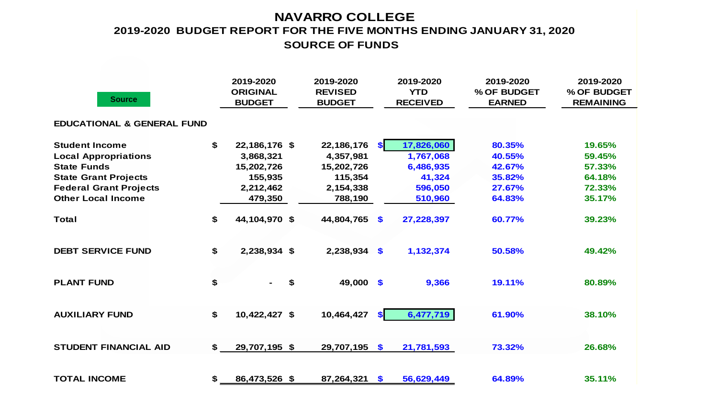### **NAVARRO COLLEGE SOURCE OF FUNDS 2019-2020 BUDGET REPORT FOR THE FIVE MONTHS ENDING JANUARY 31, 2020**

| <b>Source</b>                         | 2019-2020<br><b>ORIGINAL</b><br><b>BUDGET</b> | 2019-2020<br><b>REVISED</b><br><b>BUDGET</b> |           | 2019-2020<br><b>YTD</b><br><b>RECEIVED</b> | 2019-2020<br>% OF BUDGET<br><b>EARNED</b> | 2019-2020<br>% OF BUDGET<br><b>REMAINING</b> |
|---------------------------------------|-----------------------------------------------|----------------------------------------------|-----------|--------------------------------------------|-------------------------------------------|----------------------------------------------|
| <b>EDUCATIONAL &amp; GENERAL FUND</b> |                                               |                                              |           |                                            |                                           |                                              |
| <b>Student Income</b>                 | \$<br>22,186,176 \$                           | 22,186,176                                   | <b>SI</b> | 17,826,060                                 | 80.35%                                    | 19.65%                                       |
| <b>Local Appropriations</b>           | 3,868,321                                     | 4,357,981                                    |           | 1,767,068                                  | 40.55%                                    | 59.45%                                       |
| <b>State Funds</b>                    | 15,202,726                                    | 15,202,726                                   |           | 6,486,935                                  | 42.67%                                    | 57.33%                                       |
| <b>State Grant Projects</b>           | 155,935                                       | 115,354                                      |           | 41,324                                     | 35.82%                                    | 64.18%                                       |
| <b>Federal Grant Projects</b>         | 2,212,462                                     | 2,154,338                                    |           | 596,050                                    | 27.67%                                    | 72.33%                                       |
| <b>Other Local Income</b>             | 479,350                                       | 788,190                                      |           | 510,960                                    | 64.83%                                    | 35.17%                                       |
| <b>Total</b>                          | \$<br>44,104,970 \$                           | 44,804,765                                   | \$        | 27,228,397                                 | 60.77%                                    | 39.23%                                       |
| <b>DEBT SERVICE FUND</b>              | \$<br>2,238,934 \$                            | $2,238,934$ \$                               |           | 1,132,374                                  | 50.58%                                    | 49.42%                                       |
| <b>PLANT FUND</b>                     | \$                                            | \$<br>49,000 \$                              |           | 9,366                                      | 19.11%                                    | 80.89%                                       |
| <b>AUXILIARY FUND</b>                 | \$<br>10,422,427 \$                           | 10,464,427                                   | <b>SI</b> | 6,477,719                                  | 61.90%                                    | 38.10%                                       |
| <b>STUDENT FINANCIAL AID</b>          | \$<br>29,707,195 \$                           | 29,707,195 \$                                |           | 21,781,593                                 | 73.32%                                    | 26.68%                                       |
| <b>TOTAL INCOME</b>                   | \$<br>86,473,526 \$                           | 87,264,321                                   | \$        | 56,629,449                                 | 64.89%                                    | 35.11%                                       |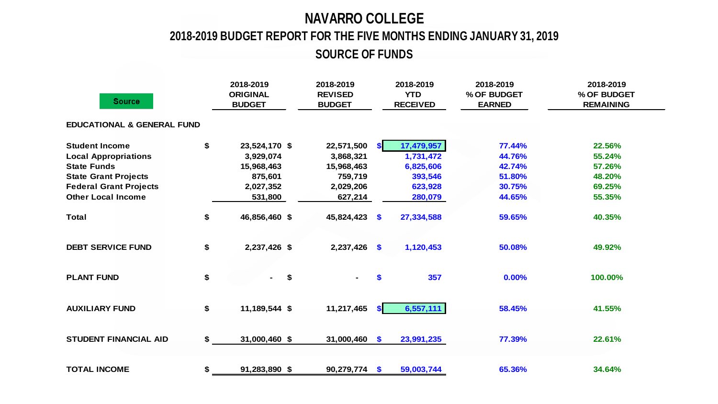# **NAVARRO COLLEGE**

## **2018-2019 BUDGET REPORT FOR THE FIVE MONTHS ENDING JANUARY 31, 2019**

**SOURCE OF FUNDS**

| <b>Source</b>                         | 2018-2019<br><b>ORIGINAL</b><br><b>BUDGET</b> | 2018-2019<br><b>REVISED</b><br><b>BUDGET</b> |           | 2018-2019<br><b>YTD</b><br><b>RECEIVED</b> | 2018-2019<br>% OF BUDGET<br><b>EARNED</b> | 2018-2019<br>% OF BUDGET<br><b>REMAINING</b> |
|---------------------------------------|-----------------------------------------------|----------------------------------------------|-----------|--------------------------------------------|-------------------------------------------|----------------------------------------------|
| <b>EDUCATIONAL &amp; GENERAL FUND</b> |                                               |                                              |           |                                            |                                           |                                              |
| <b>Student Income</b>                 | \$<br>23,524,170 \$                           | 22,571,500                                   | <b>SI</b> | 17,479,957                                 | 77.44%                                    | 22.56%                                       |
| <b>Local Appropriations</b>           | 3,929,074                                     | 3,868,321                                    |           | 1,731,472                                  | 44.76%                                    | 55.24%                                       |
| <b>State Funds</b>                    | 15,968,463                                    | 15,968,463                                   |           | 6,825,606                                  | 42.74%                                    | 57.26%                                       |
| <b>State Grant Projects</b>           | 875,601                                       | 759,719                                      |           | 393,546                                    | 51.80%                                    | 48.20%                                       |
| <b>Federal Grant Projects</b>         | 2,027,352                                     | 2,029,206                                    |           | 623,928                                    | 30.75%                                    | 69.25%                                       |
| <b>Other Local Income</b>             | 531,800                                       | 627,214                                      |           | 280,079                                    | 44.65%                                    | 55.35%                                       |
| <b>Total</b>                          | \$<br>46,856,460 \$                           | 45,824,423                                   | $\bullet$ | 27,334,588                                 | 59.65%                                    | 40.35%                                       |
| <b>DEBT SERVICE FUND</b>              | \$<br>2,237,426 \$                            | $2,237,426$ \$                               |           | 1,120,453                                  | 50.08%                                    | 49.92%                                       |
| <b>PLANT FUND</b>                     | \$<br>\$<br>$\sim$                            |                                              | <b>S</b>  | 357                                        | 0.00%                                     | 100.00%                                      |
| <b>AUXILIARY FUND</b>                 | \$<br>11,189,544 \$                           | 11,217,465                                   | \$I       | 6,557,111                                  | 58.45%                                    | 41.55%                                       |
| <b>STUDENT FINANCIAL AID</b>          | \$<br>31,000,460 \$                           | $31,000,460$ \$                              |           | 23,991,235                                 | 77.39%                                    | 22.61%                                       |
| <b>TOTAL INCOME</b>                   | \$<br>91,283,890 \$                           | $90,279,774$ \$                              |           | 59,003,744                                 | 65.36%                                    | 34.64%                                       |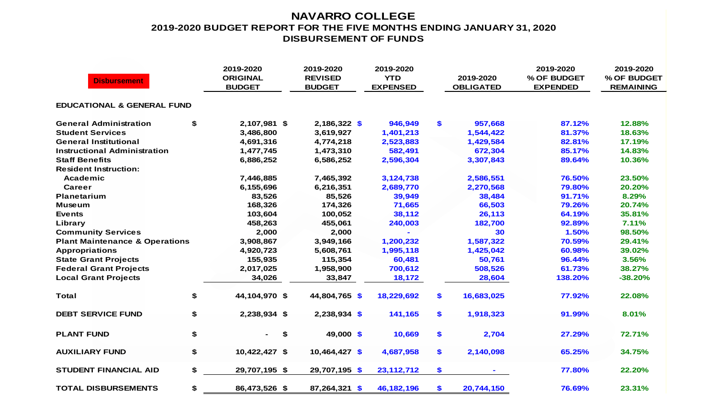#### **NAVARRO COLLEGE 2019-2020 BUDGET REPORT FOR THE FIVE MONTHS ENDING JANUARY 31, 2020 DISBURSEMENT OF FUNDS**

| <b>Disbursement</b>                       |    | 2019-2020<br><b>ORIGINAL</b><br><b>BUDGET</b> | 2019-2020<br><b>REVISED</b><br><b>BUDGET</b> | 2019-2020<br><b>YTD</b><br><b>EXPENSED</b> |     | 2019-2020<br><b>OBLIGATED</b> | 2019-2020<br>% OF BUDGET<br><b>EXPENDED</b> | 2019-2020<br>% OF BUDGET<br><b>REMAINING</b> |
|-------------------------------------------|----|-----------------------------------------------|----------------------------------------------|--------------------------------------------|-----|-------------------------------|---------------------------------------------|----------------------------------------------|
| <b>EDUCATIONAL &amp; GENERAL FUND</b>     |    |                                               |                                              |                                            |     |                               |                                             |                                              |
| <b>General Administration</b>             | \$ | 2,107,981 \$                                  | $2,186,322$ \$                               | 946,949                                    | \$  | 957,668                       | 87.12%                                      | 12.88%                                       |
| <b>Student Services</b>                   |    | 3,486,800                                     | 3,619,927                                    | 1,401,213                                  |     | 1,544,422                     | 81.37%                                      | 18.63%                                       |
| <b>General Institutional</b>              |    | 4,691,316                                     | 4,774,218                                    | 2,523,883                                  |     | 1,429,584                     | 82.81%                                      | 17.19%                                       |
| <b>Instructional Administration</b>       |    | 1,477,745                                     | 1,473,310                                    | 582,491                                    |     | 672,304                       | 85.17%                                      | 14.83%                                       |
| <b>Staff Benefits</b>                     |    | 6,886,252                                     | 6,586,252                                    | 2,596,304                                  |     | 3,307,843                     | 89.64%                                      | 10.36%                                       |
| <b>Resident Instruction:</b>              |    |                                               |                                              |                                            |     |                               |                                             |                                              |
| Academic                                  |    | 7,446,885                                     | 7,465,392                                    | 3,124,738                                  |     | 2,586,551                     | 76.50%                                      | 23.50%                                       |
| Career                                    |    | 6,155,696                                     | 6,216,351                                    | 2,689,770                                  |     | 2,270,568                     | 79.80%                                      | 20.20%                                       |
| <b>Planetarium</b>                        |    | 83,526                                        | 85,526                                       | 39,949                                     |     | 38,484                        | 91.71%                                      | 8.29%                                        |
| <b>Museum</b>                             |    | 168,326                                       | 174,326                                      | 71,665                                     |     | 66,503                        | 79.26%                                      | 20.74%                                       |
| <b>Events</b>                             |    | 103,604                                       | 100,052                                      | 38,112                                     |     | 26,113                        | 64.19%                                      | 35.81%                                       |
| Library                                   |    | 458,263                                       | 455,061                                      | 240,003                                    |     | 182,700                       | 92.89%                                      | 7.11%                                        |
| <b>Community Services</b>                 |    | 2,000                                         | 2,000                                        |                                            |     | 30                            | 1.50%                                       | 98.50%                                       |
| <b>Plant Maintenance &amp; Operations</b> |    | 3,908,867                                     | 3,949,166                                    | 1,200,232                                  |     | 1,587,322                     | 70.59%                                      | 29.41%                                       |
| <b>Appropriations</b>                     |    | 4,920,723                                     | 5,608,761                                    | 1,995,118                                  |     | 1,425,042                     | 60.98%                                      | 39.02%                                       |
| <b>State Grant Projects</b>               |    | 155,935                                       | 115,354                                      | 60,481                                     |     | 50,761                        | 96.44%                                      | 3.56%                                        |
| <b>Federal Grant Projects</b>             |    | 2,017,025                                     | 1,958,900                                    | 700,612                                    |     | 508,526                       | 61.73%                                      | 38.27%                                       |
| <b>Local Grant Projects</b>               |    | 34,026                                        | 33,847                                       | 18,172                                     |     | 28,604                        | 138.20%                                     | $-38.20%$                                    |
| <b>Total</b>                              | \$ | 44,104,970 \$                                 | 44,804,765 \$                                | 18,229,692                                 | \$. | 16,683,025                    | 77.92%                                      | 22.08%                                       |
| <b>DEBT SERVICE FUND</b>                  | \$ | 2,238,934 \$                                  | 2,238,934 \$                                 | 141,165                                    | \$  | 1,918,323                     | 91.99%                                      | 8.01%                                        |
| <b>PLANT FUND</b>                         | \$ | \$<br>٠.                                      | 49,000 \$                                    | 10,669                                     | \$  | 2,704                         | 27.29%                                      | 72.71%                                       |
| <b>AUXILIARY FUND</b>                     | \$ | 10,422,427 \$                                 | $10,464,427$ \$                              | 4,687,958                                  | \$  | 2,140,098                     | 65.25%                                      | 34.75%                                       |
| <b>STUDENT FINANCIAL AID</b>              | \$ | 29,707,195 \$                                 | 29,707,195 \$                                | 23, 112, 712                               | \$  |                               | 77.80%                                      | 22.20%                                       |
| <b>TOTAL DISBURSEMENTS</b>                | \$ | 86,473,526 \$                                 | 87,264,321 \$                                | 46, 182, 196                               | \$  | 20,744,150                    | 76.69%                                      | 23.31%                                       |